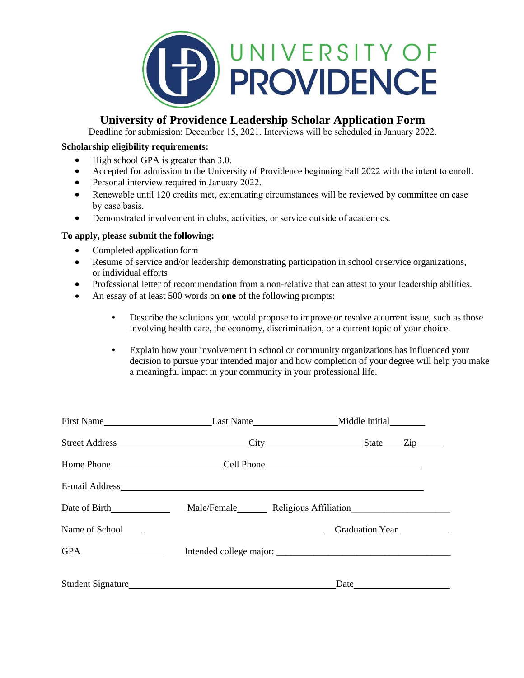

# **University of Providence Leadership Scholar Application Form**

Deadline for submission: December 15, 2021. Interviews will be scheduled in January 2022.

# **Scholarship eligibility requirements:**

- High school GPA is greater than 3.0.
- Accepted for admission to the University of Providence beginning Fall 2022 with the intent to enroll.
- Personal interview required in January 2022.
- Renewable until 120 credits met, extenuating circumstances will be reviewed by committee on case by case basis.
- Demonstrated involvement in clubs, activities, or service outside of academics.

## **To apply, please submit the following:**

- Completed application form
- Resume of service and/or leadership demonstrating participation in school or service organizations, or individual efforts
- Professional letter of recommendation from a non-relative that can attest to your leadership abilities.
- An essay of at least 500 words on **one** of the following prompts:
	- Describe the solutions you would propose to improve or resolve a current issue, such as those involving health care, the economy, discrimination, or a current topic of your choice.
	- Explain how your involvement in school or community organizations has influenced your decision to pursue your intended major and how completion of your degree will help you make a meaningful impact in your community in your professional life.

| Name of School                     | <u> 1980 - Johann Barbara, martin amerikan basar da</u> | Graduation Year |
|------------------------------------|---------------------------------------------------------|-----------------|
| <b>GPA</b><br><u>and the state</u> |                                                         |                 |
|                                    |                                                         |                 |
|                                    |                                                         | Date            |